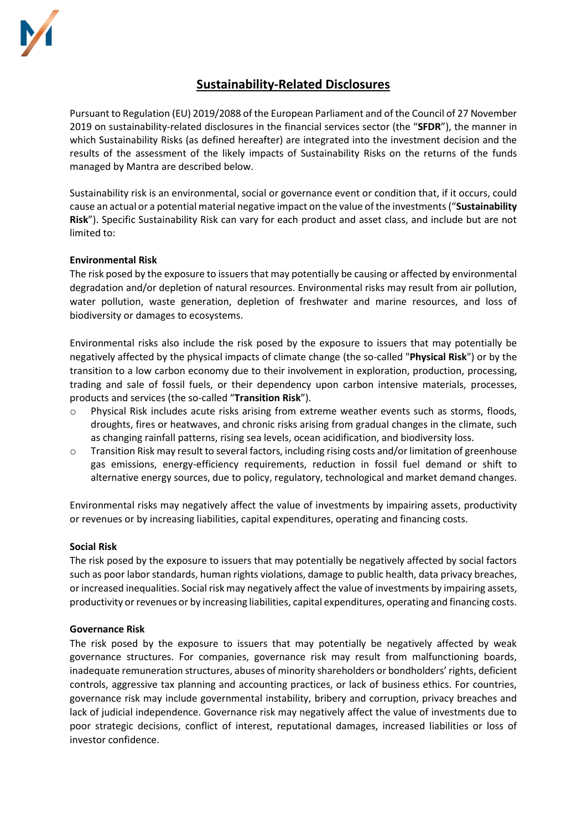

# **Sustainability-Related Disclosures**

Pursuant to Regulation (EU) 2019/2088 of the European Parliament and of the Council of 27 November 2019 on sustainability-related disclosures in the financial services sector (the "**SFDR**"), the manner in which Sustainability Risks (as defined hereafter) are integrated into the investment decision and the results of the assessment of the likely impacts of Sustainability Risks on the returns of the funds managed by Mantra are described below.

Sustainability risk is an environmental, social or governance event or condition that, if it occurs, could cause an actual or a potential material negative impact on the value of the investments ("**Sustainability Risk**"). Specific Sustainability Risk can vary for each product and asset class, and include but are not limited to:

# **Environmental Risk**

The risk posed by the exposure to issuers that may potentially be causing or affected by environmental degradation and/or depletion of natural resources. Environmental risks may result from air pollution, water pollution, waste generation, depletion of freshwater and marine resources, and loss of biodiversity or damages to ecosystems.

Environmental risks also include the risk posed by the exposure to issuers that may potentially be negatively affected by the physical impacts of climate change (the so-called "**Physical Risk**") or by the transition to a low carbon economy due to their involvement in exploration, production, processing, trading and sale of fossil fuels, or their dependency upon carbon intensive materials, processes, products and services (the so-called "**Transition Risk**").

- Physical Risk includes acute risks arising from extreme weather events such as storms, floods, droughts, fires or heatwaves, and chronic risks arising from gradual changes in the climate, such as changing rainfall patterns, rising sea levels, ocean acidification, and biodiversity loss.
- o Transition Risk may result to several factors, including rising costs and/or limitation of greenhouse gas emissions, energy-efficiency requirements, reduction in fossil fuel demand or shift to alternative energy sources, due to policy, regulatory, technological and market demand changes.

Environmental risks may negatively affect the value of investments by impairing assets, productivity or revenues or by increasing liabilities, capital expenditures, operating and financing costs.

## **Social Risk**

The risk posed by the exposure to issuers that may potentially be negatively affected by social factors such as poor labor standards, human rights violations, damage to public health, data privacy breaches, or increased inequalities. Social risk may negatively affect the value of investments by impairing assets, productivity or revenues or by increasing liabilities, capital expenditures, operating and financing costs.

## **Governance Risk**

The risk posed by the exposure to issuers that may potentially be negatively affected by weak governance structures. For companies, governance risk may result from malfunctioning boards, inadequate remuneration structures, abuses of minority shareholders or bondholders' rights, deficient controls, aggressive tax planning and accounting practices, or lack of business ethics. For countries, governance risk may include governmental instability, bribery and corruption, privacy breaches and lack of judicial independence. Governance risk may negatively affect the value of investments due to poor strategic decisions, conflict of interest, reputational damages, increased liabilities or loss of investor confidence.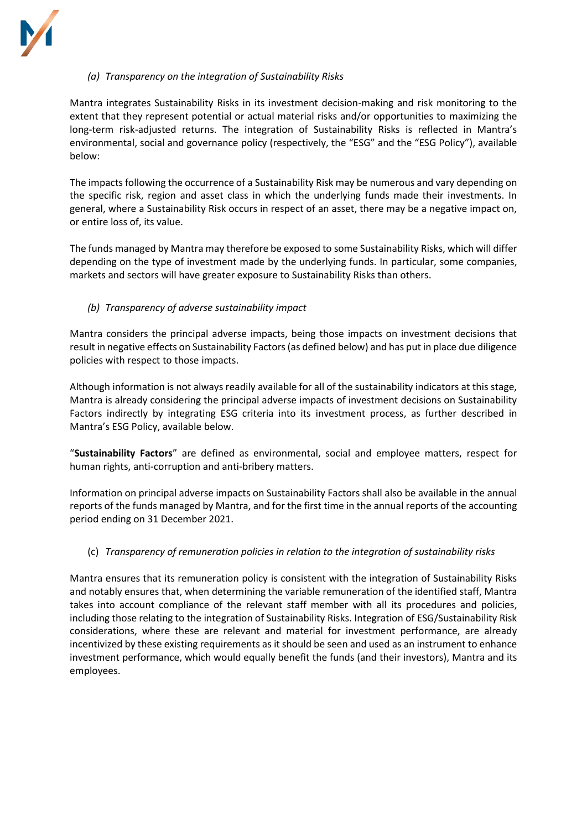

# *(a) Transparency on the integration of Sustainability Risks*

Mantra integrates Sustainability Risks in its investment decision-making and risk monitoring to the extent that they represent potential or actual material risks and/or opportunities to maximizing the long-term risk-adjusted returns. The integration of Sustainability Risks is reflected in Mantra's environmental, social and governance policy (respectively, the "ESG" and the "ESG Policy"), available below:

The impacts following the occurrence of a Sustainability Risk may be numerous and vary depending on the specific risk, region and asset class in which the underlying funds made their investments. In general, where a Sustainability Risk occurs in respect of an asset, there may be a negative impact on, or entire loss of, its value.

The funds managed by Mantra may therefore be exposed to some Sustainability Risks, which will differ depending on the type of investment made by the underlying funds. In particular, some companies, markets and sectors will have greater exposure to Sustainability Risks than others.

# *(b) Transparency of adverse sustainability impact*

Mantra considers the principal adverse impacts, being those impacts on investment decisions that result in negative effects on Sustainability Factors (as defined below) and has put in place due diligence policies with respect to those impacts.

Although information is not always readily available for all of the sustainability indicators at this stage, Mantra is already considering the principal adverse impacts of investment decisions on Sustainability Factors indirectly by integrating ESG criteria into its investment process, as further described in Mantra's ESG Policy, available below.

"**Sustainability Factors**" are defined as environmental, social and employee matters, respect for human rights, anti‐corruption and anti‐bribery matters.

Information on principal adverse impacts on Sustainability Factors shall also be available in the annual reports of the funds managed by Mantra, and for the first time in the annual reports of the accounting period ending on 31 December 2021.

## (c) *Transparency of remuneration policies in relation to the integration of sustainability risks*

Mantra ensures that its remuneration policy is consistent with the integration of Sustainability Risks and notably ensures that, when determining the variable remuneration of the identified staff, Mantra takes into account compliance of the relevant staff member with all its procedures and policies, including those relating to the integration of Sustainability Risks. Integration of ESG/Sustainability Risk considerations, where these are relevant and material for investment performance, are already incentivized by these existing requirements as it should be seen and used as an instrument to enhance investment performance, which would equally benefit the funds (and their investors), Mantra and its employees.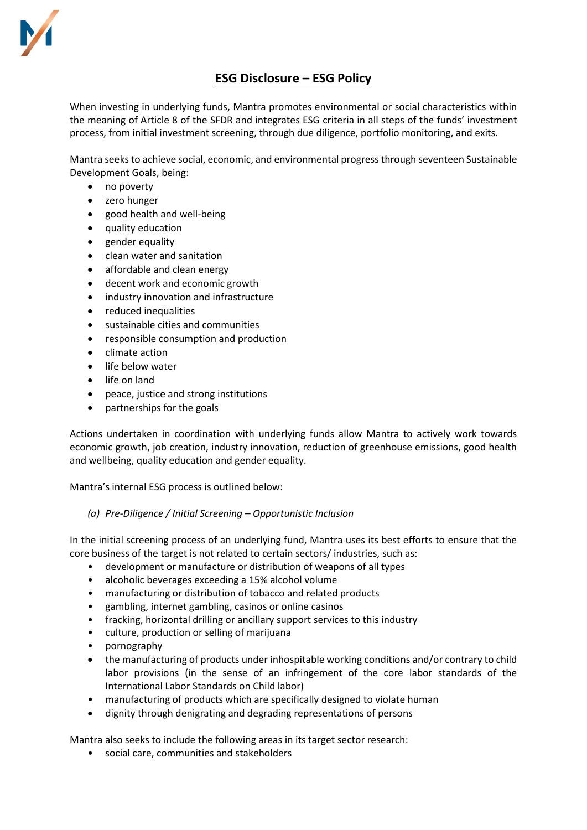

# **ESG Disclosure – ESG Policy**

When investing in underlying funds, Mantra promotes environmental or social characteristics within the meaning of Article 8 of the SFDR and integrates ESG criteria in all steps of the funds' investment process, from initial investment screening, through due diligence, portfolio monitoring, and exits.

Mantra seeks to achieve social, economic, and environmental progress through seventeen Sustainable Development Goals, being:

- no poverty
- zero hunger
- good health and well-being
- quality education
- gender equality
- clean water and sanitation
- affordable and clean energy
- decent work and economic growth
- industry innovation and infrastructure
- reduced inequalities
- sustainable cities and communities
- responsible consumption and production
- climate action
- life below water
- life on land
- peace, justice and strong institutions
- partnerships for the goals

Actions undertaken in coordination with underlying funds allow Mantra to actively work towards economic growth, job creation, industry innovation, reduction of greenhouse emissions, good health and wellbeing, quality education and gender equality.

Mantra's internal ESG process is outlined below:

# *(a) Pre-Diligence / Initial Screening – Opportunistic Inclusion*

In the initial screening process of an underlying fund, Mantra uses its best efforts to ensure that the core business of the target is not related to certain sectors/ industries, such as:

- development or manufacture or distribution of weapons of all types
- alcoholic beverages exceeding a 15% alcohol volume
- manufacturing or distribution of tobacco and related products
- gambling, internet gambling, casinos or online casinos
- fracking, horizontal drilling or ancillary support services to this industry
- culture, production or selling of marijuana
- pornography
- the manufacturing of products under inhospitable working conditions and/or contrary to child labor provisions (in the sense of an infringement of the core labor standards of the International Labor Standards on Child labor)
- manufacturing of products which are specifically designed to violate human
- dignity through denigrating and degrading representations of persons

Mantra also seeks to include the following areas in its target sector research:

• social care, communities and stakeholders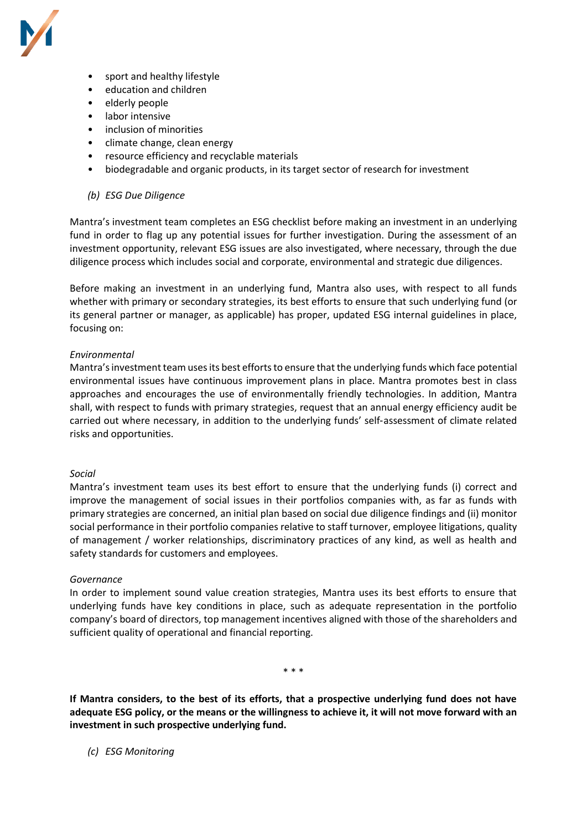

- sport and healthy lifestyle
- education and children
- elderly people
- labor intensive
- inclusion of minorities
- climate change, clean energy
- resource efficiency and recyclable materials
- biodegradable and organic products, in its target sector of research for investment

## *(b) ESG Due Diligence*

Mantra's investment team completes an ESG checklist before making an investment in an underlying fund in order to flag up any potential issues for further investigation. During the assessment of an investment opportunity, relevant ESG issues are also investigated, where necessary, through the due diligence process which includes social and corporate, environmental and strategic due diligences.

Before making an investment in an underlying fund, Mantra also uses, with respect to all funds whether with primary or secondary strategies, its best efforts to ensure that such underlying fund (or its general partner or manager, as applicable) has proper, updated ESG internal guidelines in place, focusing on:

## *Environmental*

Mantra'sinvestment team uses its best efforts to ensure that the underlying funds which face potential environmental issues have continuous improvement plans in place. Mantra promotes best in class approaches and encourages the use of environmentally friendly technologies. In addition, Mantra shall, with respect to funds with primary strategies, request that an annual energy efficiency audit be carried out where necessary, in addition to the underlying funds' self‑assessment of climate related risks and opportunities.

## *Social*

Mantra's investment team uses its best effort to ensure that the underlying funds (i) correct and improve the management of social issues in their portfolios companies with, as far as funds with primary strategies are concerned, an initial plan based on social due diligence findings and (ii) monitor social performance in their portfolio companies relative to staff turnover, employee litigations, quality of management / worker relationships, discriminatory practices of any kind, as well as health and safety standards for customers and employees.

## *Governance*

In order to implement sound value creation strategies, Mantra uses its best efforts to ensure that underlying funds have key conditions in place, such as adequate representation in the portfolio company's board of directors, top management incentives aligned with those of the shareholders and sufficient quality of operational and financial reporting.

\* \* \*

**If Mantra considers, to the best of its efforts, that a prospective underlying fund does not have adequate ESG policy, or the means or the willingness to achieve it, it will not move forward with an investment in such prospective underlying fund.**

*(c) ESG Monitoring*